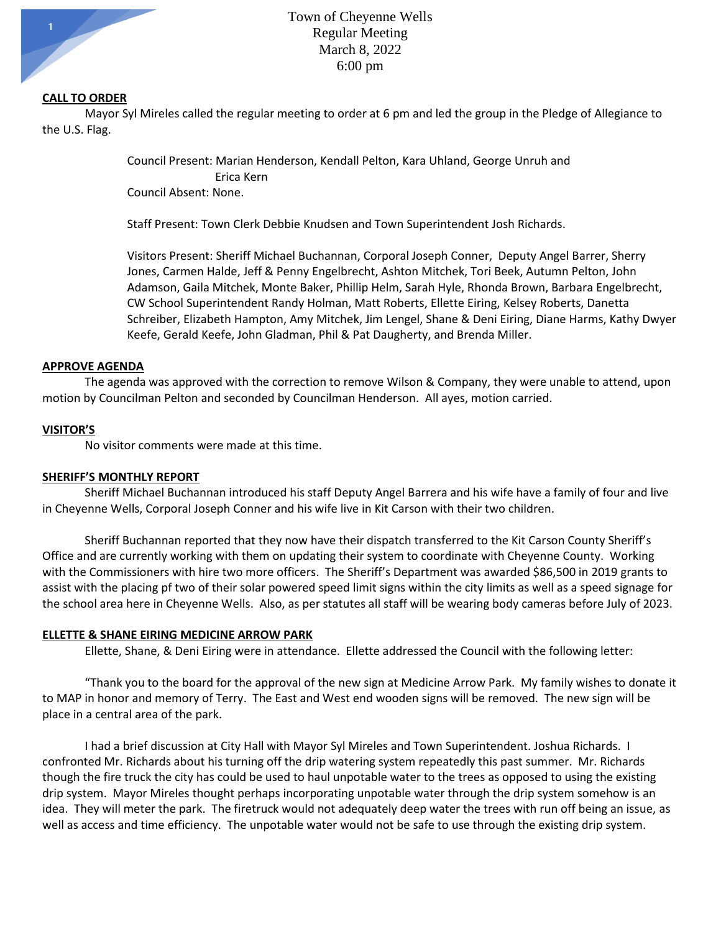

### **CALL TO ORDER**

Mayor Syl Mireles called the regular meeting to order at 6 pm and led the group in the Pledge of Allegiance to the U.S. Flag.

> Council Present: Marian Henderson, Kendall Pelton, Kara Uhland, George Unruh and Erica Kern Council Absent: None.

Staff Present: Town Clerk Debbie Knudsen and Town Superintendent Josh Richards.

Visitors Present: Sheriff Michael Buchannan, Corporal Joseph Conner, Deputy Angel Barrer, Sherry Jones, Carmen Halde, Jeff & Penny Engelbrecht, Ashton Mitchek, Tori Beek, Autumn Pelton, John Adamson, Gaila Mitchek, Monte Baker, Phillip Helm, Sarah Hyle, Rhonda Brown, Barbara Engelbrecht, CW School Superintendent Randy Holman, Matt Roberts, Ellette Eiring, Kelsey Roberts, Danetta Schreiber, Elizabeth Hampton, Amy Mitchek, Jim Lengel, Shane & Deni Eiring, Diane Harms, Kathy Dwyer Keefe, Gerald Keefe, John Gladman, Phil & Pat Daugherty, and Brenda Miller.

### **APPROVE AGENDA**

The agenda was approved with the correction to remove Wilson & Company, they were unable to attend, upon motion by Councilman Pelton and seconded by Councilman Henderson. All ayes, motion carried.

### **VISITOR'S**

No visitor comments were made at this time.

### **SHERIFF'S MONTHLY REPORT**

Sheriff Michael Buchannan introduced his staff Deputy Angel Barrera and his wife have a family of four and live in Cheyenne Wells, Corporal Joseph Conner and his wife live in Kit Carson with their two children.

Sheriff Buchannan reported that they now have their dispatch transferred to the Kit Carson County Sheriff's Office and are currently working with them on updating their system to coordinate with Cheyenne County. Working with the Commissioners with hire two more officers. The Sheriff's Department was awarded \$86,500 in 2019 grants to assist with the placing pf two of their solar powered speed limit signs within the city limits as well as a speed signage for the school area here in Cheyenne Wells. Also, as per statutes all staff will be wearing body cameras before July of 2023.

### **ELLETTE & SHANE EIRING MEDICINE ARROW PARK**

Ellette, Shane, & Deni Eiring were in attendance. Ellette addressed the Council with the following letter:

"Thank you to the board for the approval of the new sign at Medicine Arrow Park. My family wishes to donate it to MAP in honor and memory of Terry. The East and West end wooden signs will be removed. The new sign will be place in a central area of the park.

I had a brief discussion at City Hall with Mayor Syl Mireles and Town Superintendent. Joshua Richards. I confronted Mr. Richards about his turning off the drip watering system repeatedly this past summer. Mr. Richards though the fire truck the city has could be used to haul unpotable water to the trees as opposed to using the existing drip system. Mayor Mireles thought perhaps incorporating unpotable water through the drip system somehow is an idea. They will meter the park. The firetruck would not adequately deep water the trees with run off being an issue, as well as access and time efficiency. The unpotable water would not be safe to use through the existing drip system.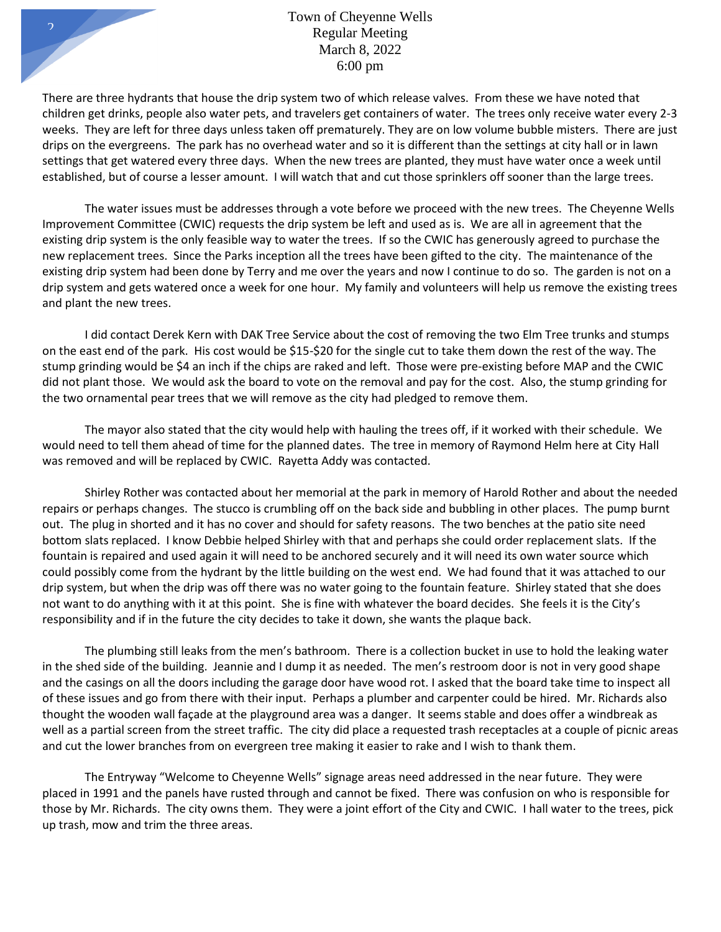There are three hydrants that house the drip system two of which release valves. From these we have noted that children get drinks, people also water pets, and travelers get containers of water. The trees only receive water every 2-3 weeks. They are left for three days unless taken off prematurely. They are on low volume bubble misters. There are just drips on the evergreens. The park has no overhead water and so it is different than the settings at city hall or in lawn settings that get watered every three days. When the new trees are planted, they must have water once a week until established, but of course a lesser amount. I will watch that and cut those sprinklers off sooner than the large trees.

The water issues must be addresses through a vote before we proceed with the new trees. The Cheyenne Wells Improvement Committee (CWIC) requests the drip system be left and used as is. We are all in agreement that the existing drip system is the only feasible way to water the trees. If so the CWIC has generously agreed to purchase the new replacement trees. Since the Parks inception all the trees have been gifted to the city. The maintenance of the existing drip system had been done by Terry and me over the years and now I continue to do so. The garden is not on a drip system and gets watered once a week for one hour. My family and volunteers will help us remove the existing trees and plant the new trees.

I did contact Derek Kern with DAK Tree Service about the cost of removing the two Elm Tree trunks and stumps on the east end of the park. His cost would be \$15-\$20 for the single cut to take them down the rest of the way. The stump grinding would be \$4 an inch if the chips are raked and left. Those were pre-existing before MAP and the CWIC did not plant those. We would ask the board to vote on the removal and pay for the cost. Also, the stump grinding for the two ornamental pear trees that we will remove as the city had pledged to remove them.

The mayor also stated that the city would help with hauling the trees off, if it worked with their schedule. We would need to tell them ahead of time for the planned dates. The tree in memory of Raymond Helm here at City Hall was removed and will be replaced by CWIC. Rayetta Addy was contacted.

Shirley Rother was contacted about her memorial at the park in memory of Harold Rother and about the needed repairs or perhaps changes. The stucco is crumbling off on the back side and bubbling in other places. The pump burnt out. The plug in shorted and it has no cover and should for safety reasons. The two benches at the patio site need bottom slats replaced. I know Debbie helped Shirley with that and perhaps she could order replacement slats. If the fountain is repaired and used again it will need to be anchored securely and it will need its own water source which could possibly come from the hydrant by the little building on the west end. We had found that it was attached to our drip system, but when the drip was off there was no water going to the fountain feature. Shirley stated that she does not want to do anything with it at this point. She is fine with whatever the board decides. She feels it is the City's responsibility and if in the future the city decides to take it down, she wants the plaque back.

The plumbing still leaks from the men's bathroom. There is a collection bucket in use to hold the leaking water in the shed side of the building. Jeannie and I dump it as needed. The men's restroom door is not in very good shape and the casings on all the doors including the garage door have wood rot. I asked that the board take time to inspect all of these issues and go from there with their input. Perhaps a plumber and carpenter could be hired. Mr. Richards also thought the wooden wall façade at the playground area was a danger. It seems stable and does offer a windbreak as well as a partial screen from the street traffic. The city did place a requested trash receptacles at a couple of picnic areas and cut the lower branches from on evergreen tree making it easier to rake and I wish to thank them.

The Entryway "Welcome to Cheyenne Wells" signage areas need addressed in the near future. They were placed in 1991 and the panels have rusted through and cannot be fixed. There was confusion on who is responsible for those by Mr. Richards. The city owns them. They were a joint effort of the City and CWIC. I hall water to the trees, pick up trash, mow and trim the three areas.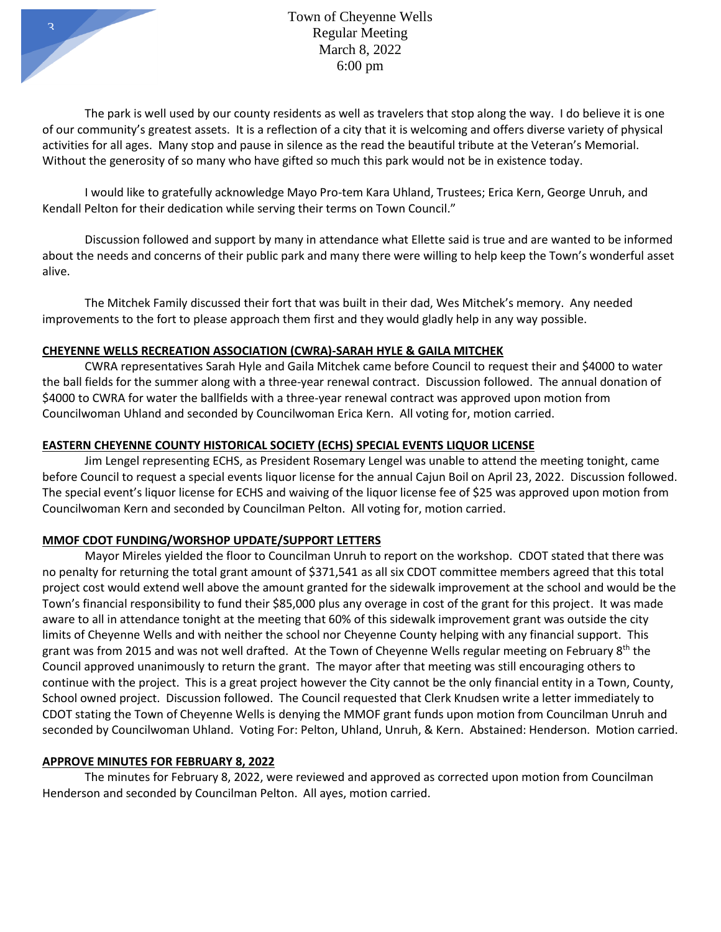

Town of Cheyenne Wells Regular Meeting March 8, 2022 6:00 pm

The park is well used by our county residents as well as travelers that stop along the way. I do believe it is one of our community's greatest assets. It is a reflection of a city that it is welcoming and offers diverse variety of physical activities for all ages. Many stop and pause in silence as the read the beautiful tribute at the Veteran's Memorial. Without the generosity of so many who have gifted so much this park would not be in existence today.

I would like to gratefully acknowledge Mayo Pro-tem Kara Uhland, Trustees; Erica Kern, George Unruh, and Kendall Pelton for their dedication while serving their terms on Town Council."

Discussion followed and support by many in attendance what Ellette said is true and are wanted to be informed about the needs and concerns of their public park and many there were willing to help keep the Town's wonderful asset alive.

The Mitchek Family discussed their fort that was built in their dad, Wes Mitchek's memory. Any needed improvements to the fort to please approach them first and they would gladly help in any way possible.

## **CHEYENNE WELLS RECREATION ASSOCIATION (CWRA)-SARAH HYLE & GAILA MITCHEK**

CWRA representatives Sarah Hyle and Gaila Mitchek came before Council to request their and \$4000 to water the ball fields for the summer along with a three-year renewal contract. Discussion followed. The annual donation of \$4000 to CWRA for water the ballfields with a three-year renewal contract was approved upon motion from Councilwoman Uhland and seconded by Councilwoman Erica Kern. All voting for, motion carried.

# **EASTERN CHEYENNE COUNTY HISTORICAL SOCIETY (ECHS) SPECIAL EVENTS LIQUOR LICENSE**

Jim Lengel representing ECHS, as President Rosemary Lengel was unable to attend the meeting tonight, came before Council to request a special events liquor license for the annual Cajun Boil on April 23, 2022. Discussion followed. The special event's liquor license for ECHS and waiving of the liquor license fee of \$25 was approved upon motion from Councilwoman Kern and seconded by Councilman Pelton. All voting for, motion carried.

## **MMOF CDOT FUNDING/WORSHOP UPDATE/SUPPORT LETTERS**

Mayor Mireles yielded the floor to Councilman Unruh to report on the workshop. CDOT stated that there was no penalty for returning the total grant amount of \$371,541 as all six CDOT committee members agreed that this total project cost would extend well above the amount granted for the sidewalk improvement at the school and would be the Town's financial responsibility to fund their \$85,000 plus any overage in cost of the grant for this project. It was made aware to all in attendance tonight at the meeting that 60% of this sidewalk improvement grant was outside the city limits of Cheyenne Wells and with neither the school nor Cheyenne County helping with any financial support. This grant was from 2015 and was not well drafted. At the Town of Cheyenne Wells regular meeting on February  $8<sup>th</sup>$  the Council approved unanimously to return the grant. The mayor after that meeting was still encouraging others to continue with the project. This is a great project however the City cannot be the only financial entity in a Town, County, School owned project. Discussion followed. The Council requested that Clerk Knudsen write a letter immediately to CDOT stating the Town of Cheyenne Wells is denying the MMOF grant funds upon motion from Councilman Unruh and seconded by Councilwoman Uhland. Voting For: Pelton, Uhland, Unruh, & Kern. Abstained: Henderson. Motion carried.

## **APPROVE MINUTES FOR FEBRUARY 8, 2022**

The minutes for February 8, 2022, were reviewed and approved as corrected upon motion from Councilman Henderson and seconded by Councilman Pelton. All ayes, motion carried.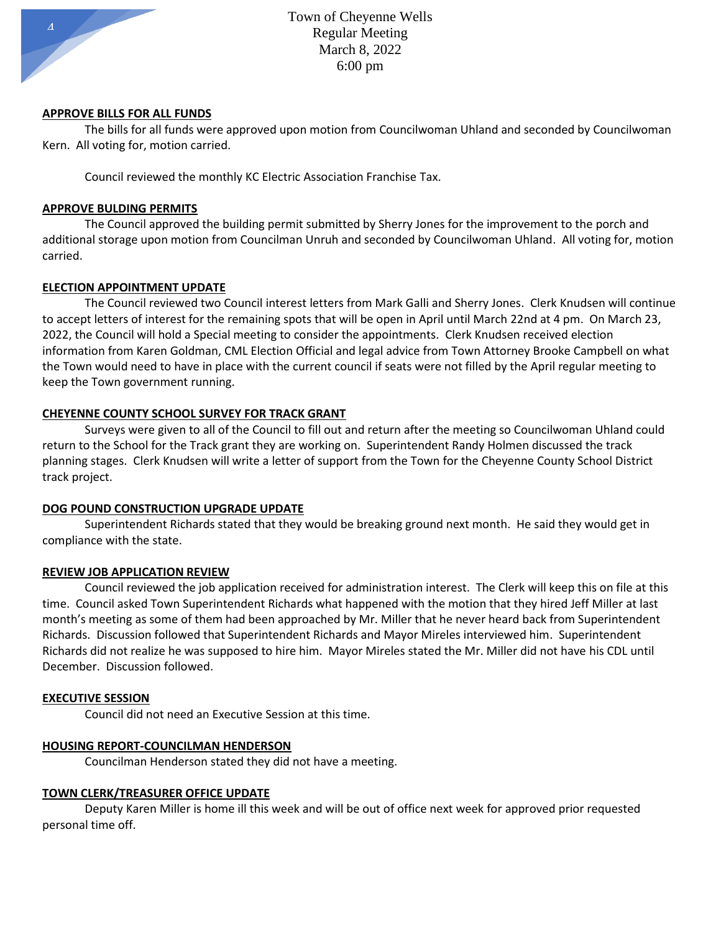

### **APPROVE BILLS FOR ALL FUNDS**

The bills for all funds were approved upon motion from Councilwoman Uhland and seconded by Councilwoman Kern. All voting for, motion carried.

Council reviewed the monthly KC Electric Association Franchise Tax.

### **APPROVE BULDING PERMITS**

The Council approved the building permit submitted by Sherry Jones for the improvement to the porch and additional storage upon motion from Councilman Unruh and seconded by Councilwoman Uhland. All voting for, motion carried.

## **ELECTION APPOINTMENT UPDATE**

The Council reviewed two Council interest letters from Mark Galli and Sherry Jones. Clerk Knudsen will continue to accept letters of interest for the remaining spots that will be open in April until March 22nd at 4 pm. On March 23, 2022, the Council will hold a Special meeting to consider the appointments. Clerk Knudsen received election information from Karen Goldman, CML Election Official and legal advice from Town Attorney Brooke Campbell on what the Town would need to have in place with the current council if seats were not filled by the April regular meeting to keep the Town government running.

## **CHEYENNE COUNTY SCHOOL SURVEY FOR TRACK GRANT**

Surveys were given to all of the Council to fill out and return after the meeting so Councilwoman Uhland could return to the School for the Track grant they are working on. Superintendent Randy Holmen discussed the track planning stages. Clerk Knudsen will write a letter of support from the Town for the Cheyenne County School District track project.

## **DOG POUND CONSTRUCTION UPGRADE UPDATE**

Superintendent Richards stated that they would be breaking ground next month. He said they would get in compliance with the state.

### **REVIEW JOB APPLICATION REVIEW**

Council reviewed the job application received for administration interest. The Clerk will keep this on file at this time. Council asked Town Superintendent Richards what happened with the motion that they hired Jeff Miller at last month's meeting as some of them had been approached by Mr. Miller that he never heard back from Superintendent Richards. Discussion followed that Superintendent Richards and Mayor Mireles interviewed him. Superintendent Richards did not realize he was supposed to hire him. Mayor Mireles stated the Mr. Miller did not have his CDL until December. Discussion followed.

### **EXECUTIVE SESSION**

Council did not need an Executive Session at this time.

### **HOUSING REPORT-COUNCILMAN HENDERSON**

Councilman Henderson stated they did not have a meeting.

### **TOWN CLERK/TREASURER OFFICE UPDATE**

Deputy Karen Miller is home ill this week and will be out of office next week for approved prior requested personal time off.